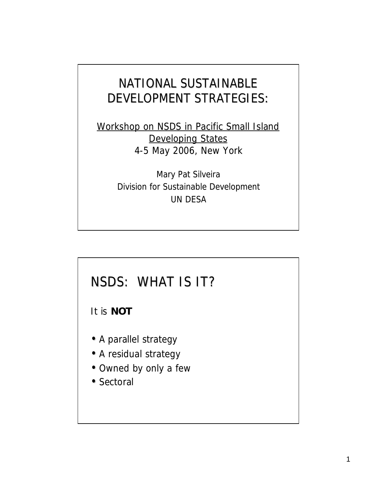#### NATIONAL SUSTAINABLE DEVELOPMENT STRATEGIES:

Workshop on NSDS in Pacific Small Island Developing States 4-5 May 2006, New York

> Mary Pat Silveira Division for Sustainable Development UN DESA

#### NSDS: WHAT IS IT?

It is **NOT**

- A parallel strategy
- A residual strategy
- Owned by only a few
- Sectoral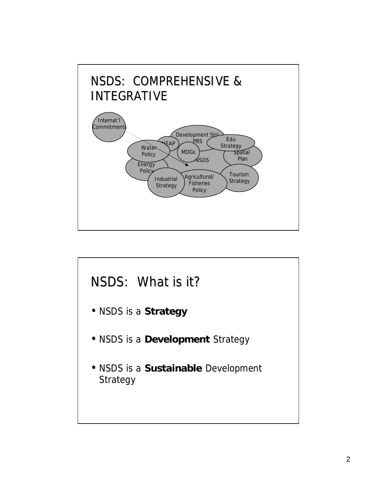

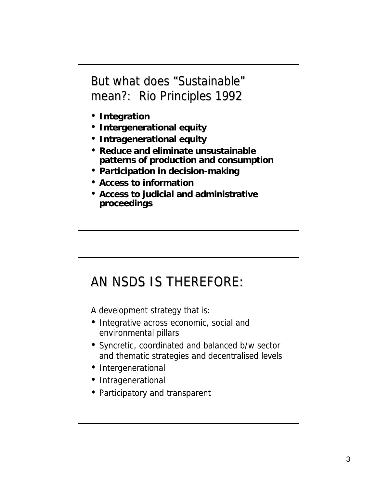But what does "Sustainable" mean?: Rio Principles 1992

- **Integration**
- **Intergenerational equity**
- **Intragenerational equity**
- **Reduce and eliminate unsustainable patterns of production and consumption**
- **Participation in decision-making**
- **Access to information**
- **Access to judicial and administrative proceedings**

# AN NSDS IS THEREFORE:

A development strategy that is:

- Integrative across economic, social and environmental pillars
- Syncretic, coordinated and balanced b/w sector and thematic strategies and decentralised levels
- Intergenerational
- Intragenerational
- Participatory and transparent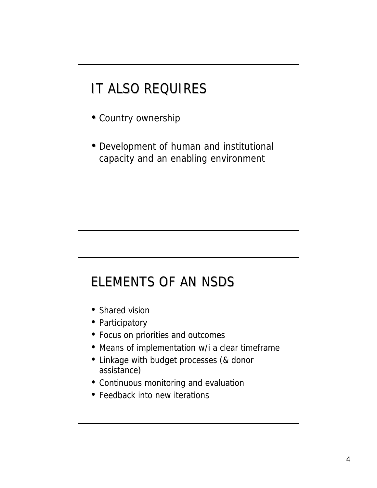# IT ALSO REQUIRES

- Country ownership
- Development of human and institutional capacity and an enabling environment

# ELEMENTS OF AN NSDS

- Shared vision
- Participatory
- Focus on priorities and outcomes
- Means of implementation w/i a clear timeframe
- Linkage with budget processes (& donor assistance)
- Continuous monitoring and evaluation
- Feedback into new iterations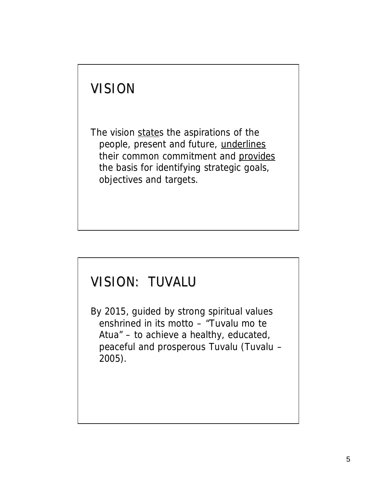# VISION

The vision states the aspirations of the people, present and future, underlines their common commitment and provides the basis for identifying strategic goals, objectives and targets.

# VISION: TUVALU

By 2015, guided by strong spiritual values enshrined in its motto – *"Tuvalu mo te Atua"* – to achieve a healthy, educated, peaceful and prosperous Tuvalu (Tuvalu – 2005).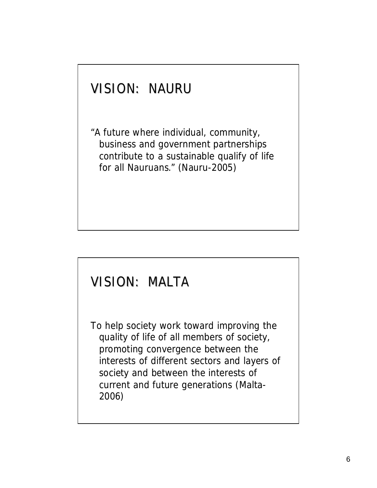# VISION: NAURU

"A future where individual, community, business and government partnerships contribute to a sustainable qualify of life for all Nauruans." (Nauru-2005)

# VISION: MALTA

To help society work toward improving the quality of life of all members of society, promoting convergence between the interests of different sectors and layers of society and between the interests of current and future generations (Malta-2006)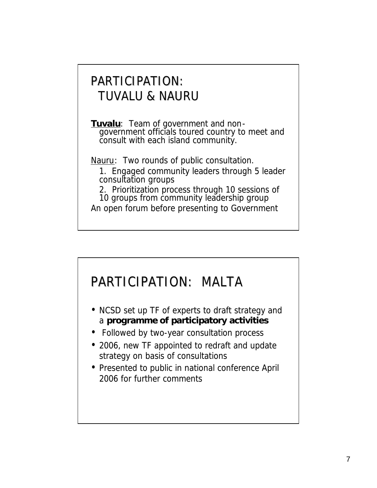### PARTICIPATION: TUVALU & NAURU

**Tuvalu**: Team of government and nongovernment officials toured country to meet and consult with each island community.

Nauru: Two rounds of public consultation.

1. Engaged community leaders through 5 leader consultation groups

2. Prioritization process through 10 sessions of 10 groups from community leadership group An open forum before presenting to Government



- NCSD set up TF of experts to draft strategy and a **programme of participatory activities**
- Followed by two-year consultation process
- 2006, new TF appointed to redraft and update strategy on basis of consultations
- Presented to public in national conference April 2006 for further comments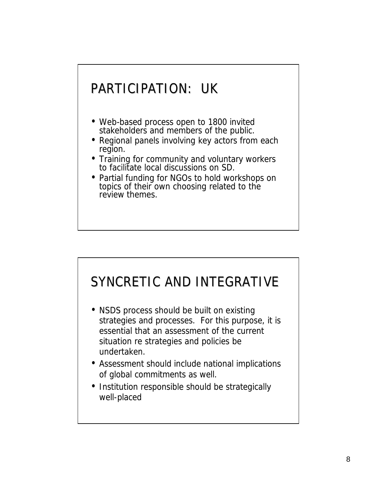# PARTICIPATION: UK

- Web-based process open to 1800 invited stakeholders and members of the public.
- Regional panels involving key actors from each region.
- Training for community and voluntary workers to facilitate local discussions on SD.
- Partial funding for NGOs to hold workshops on topics of their own choosing related to the review themes.

# SYNCRETIC AND INTEGRATIVE

- NSDS process should be built on existing strategies and processes. For this purpose, it is essential that an assessment of the current situation re strategies and policies be undertaken.
- Assessment should include national implications of global commitments as well.
- Institution responsible should be strategically well-placed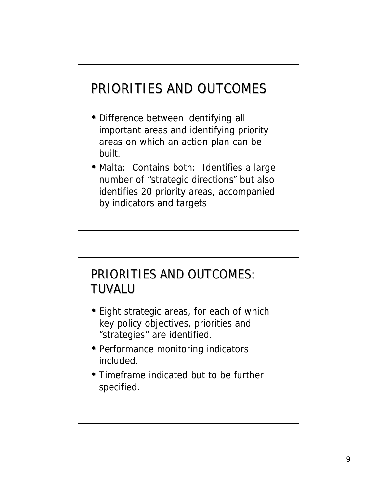# PRIORITIES AND OUTCOMES

- Difference between identifying all important areas and identifying priority areas on which an action plan can be built.
- Malta: Contains both: Identifies a large number of "strategic directions" but also identifies 20 priority areas, accompanied by indicators and targets

### PRIORITIES AND OUTCOMES: TUVALU

- Eight strategic areas, for each of which key policy objectives, priorities and "strategies" are identified.
- Performance monitoring indicators included.
- Timeframe indicated but to be further specified.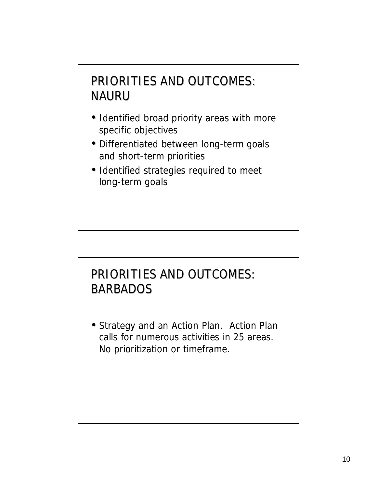### PRIORITIES AND OUTCOMES: NAURU

- Identified broad priority areas with more specific objectives
- Differentiated between long-term goals and short-term priorities
- Identified strategies required to meet long-term goals

### PRIORITIES AND OUTCOMES: BARBADOS

• Strategy and an Action Plan. Action Plan calls for numerous activities in 25 areas. No prioritization or timeframe.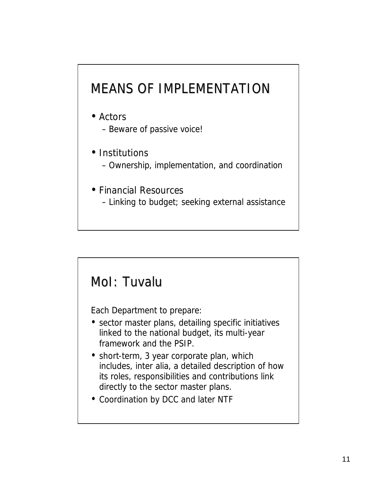# MEANS OF IMPLEMENTATION

- Actors
	- Beware of passive voice!
- Institutions
	- Ownership, implementation, and coordination
- Financial Resources – Linking to budget; seeking external assistance

### MoI: Tuvalu

Each Department to prepare:

- sector master plans, detailing specific initiatives linked to the national budget, its multi-year framework and the PSIP.
- short-term, 3 year corporate plan, which includes, inter alia, a detailed description of how its roles, responsibilities and contributions link directly to the sector master plans.
- Coordination by DCC and later NTF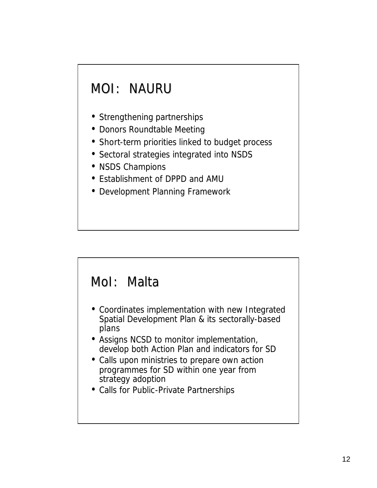# MOI: NAURU

- Strengthening partnerships
- Donors Roundtable Meeting
- Short-term priorities linked to budget process
- Sectoral strategies integrated into NSDS
- NSDS Champions
- Establishment of DPPD and AMU
- Development Planning Framework

#### MoI: Malta

- Coordinates implementation with new Integrated Spatial Development Plan & its sectorally-based plans
- Assigns NCSD to monitor implementation, develop both Action Plan and indicators for SD
- Calls upon ministries to prepare own action programmes for SD within one year from strategy adoption
- Calls for Public-Private Partnerships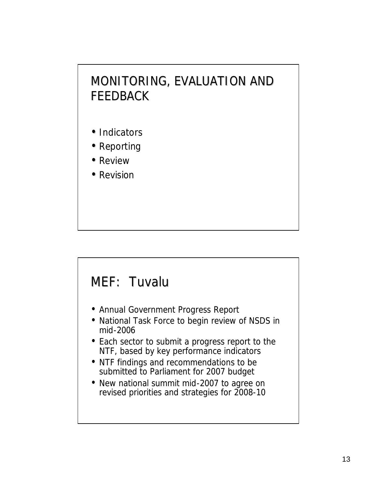#### MONITORING, EVALUATION AND FEEDBACK

- Indicators
- Reporting
- Review
- Revision

#### MEF: Tuvalu

- Annual Government Progress Report
- National Task Force to begin review of NSDS in mid-2006
- Each sector to submit a progress report to the NTF, based by key performance indicators
- NTF findings and recommendations to be submitted to Parliament for 2007 budget
- New national summit mid-2007 to agree on revised priorities and strategies for 2008-10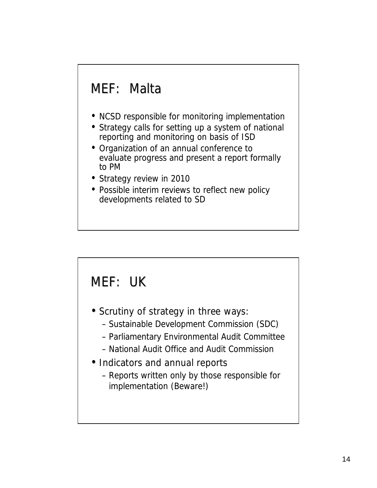### MEF: Malta

- NCSD responsible for monitoring implementation
- Strategy calls for setting up a system of national reporting and monitoring on basis of ISD
- Organization of an annual conference to evaluate progress and present a report formally to PM
- Strategy review in 2010
- Possible interim reviews to reflect new policy developments related to SD

### MEF: UK

- Scrutiny of strategy in three ways:
	- Sustainable Development Commission (SDC)
	- Parliamentary Environmental Audit Committee
	- National Audit Office and Audit Commission
- Indicators and annual reports
	- Reports written only by those responsible for implementation (Beware!)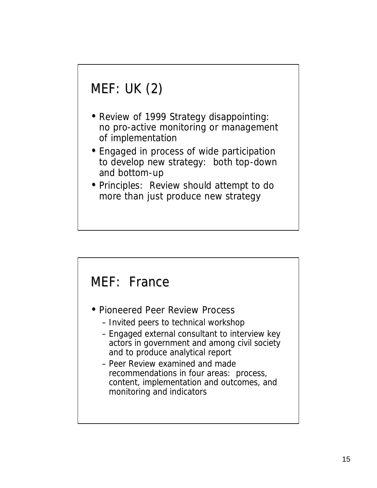# MEF: UK (2)

- Review of 1999 Strategy disappointing: no pro-active monitoring or management of implementation
- Engaged in process of wide participation to develop new strategy: both top-down and bottom-up
- Principles: Review should attempt to do more than just produce new strategy

#### MEF: France

- Pioneered Peer Review Process
	- Invited peers to technical workshop
	- Engaged external consultant to interview key actors in government and among civil society and to produce analytical report
	- Peer Review examined and made recommendations in four areas: process, content, implementation and outcomes, and monitoring and indicators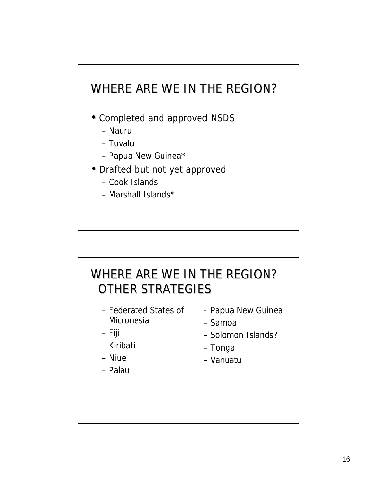### WHERE ARE WE IN THE REGION?

- Completed and approved NSDS
	- Nauru
	- Tuvalu
	- Papua New Guinea\*
- Drafted but not yet approved
	- Cook Islands
	- Marshall Islands\*

# WHERE ARE WE IN THE REGION? OTHER STRATEGIES

- Federated States of **Micronesia**
- Fiji
- Kiribati
- Niue
- Palau
- Papua New Guinea
- Samoa
- Solomon Islands?
- Tonga
- Vanuatu